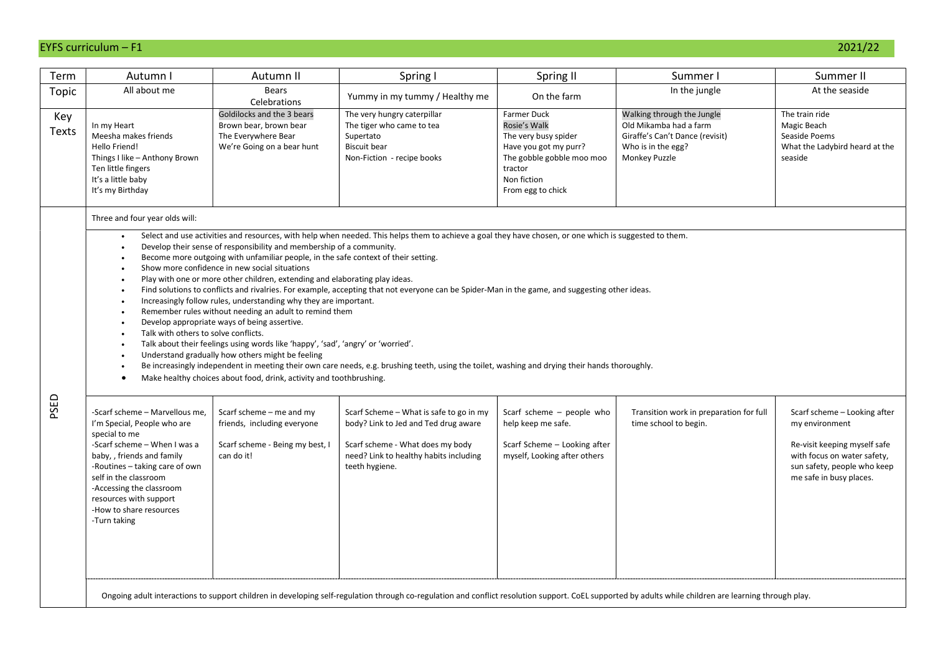## EYFS curriculum – F1 2021/22

| Term         | Autumn I                                                                                                                                                                                                                                                                                                                                                                                                                                                                                                                                                                                                                                                                                                                                                                                                                                                                                                                                                                                                                                                                                                                                                                                                   | Autumn II                                                                                                 | Spring I                                                                                                                                                                        | Spring II                                                                                                                                                       | Summer I                                                                                                                                                                                               | Summer II                                                                                                                                                               |  |
|--------------|------------------------------------------------------------------------------------------------------------------------------------------------------------------------------------------------------------------------------------------------------------------------------------------------------------------------------------------------------------------------------------------------------------------------------------------------------------------------------------------------------------------------------------------------------------------------------------------------------------------------------------------------------------------------------------------------------------------------------------------------------------------------------------------------------------------------------------------------------------------------------------------------------------------------------------------------------------------------------------------------------------------------------------------------------------------------------------------------------------------------------------------------------------------------------------------------------------|-----------------------------------------------------------------------------------------------------------|---------------------------------------------------------------------------------------------------------------------------------------------------------------------------------|-----------------------------------------------------------------------------------------------------------------------------------------------------------------|--------------------------------------------------------------------------------------------------------------------------------------------------------------------------------------------------------|-------------------------------------------------------------------------------------------------------------------------------------------------------------------------|--|
| Topic        | All about me                                                                                                                                                                                                                                                                                                                                                                                                                                                                                                                                                                                                                                                                                                                                                                                                                                                                                                                                                                                                                                                                                                                                                                                               | <b>Bears</b><br>Celebrations                                                                              | Yummy in my tummy / Healthy me                                                                                                                                                  | On the farm                                                                                                                                                     | In the jungle                                                                                                                                                                                          | At the seaside                                                                                                                                                          |  |
| Key<br>Texts | In my Heart<br>Meesha makes friends<br>Hello Friend!<br>Things I like - Anthony Brown<br>Ten little fingers<br>It's a little baby<br>It's my Birthday                                                                                                                                                                                                                                                                                                                                                                                                                                                                                                                                                                                                                                                                                                                                                                                                                                                                                                                                                                                                                                                      | Goldilocks and the 3 bears<br>Brown bear, brown bear<br>The Everywhere Bear<br>We're Going on a bear hunt | The very hungry caterpillar<br>The tiger who came to tea<br>Supertato<br><b>Biscuit bear</b><br>Non-Fiction - recipe books                                                      | <b>Farmer Duck</b><br>Rosie's Walk<br>The very busy spider<br>Have you got my purr?<br>The gobble gobble moo moo<br>tractor<br>Non fiction<br>From egg to chick | Walking through the Jungle<br>Old Mikamba had a farm<br>Giraffe's Can't Dance (revisit)<br>Who is in the egg?<br>Monkey Puzzle                                                                         | The train ride<br>Magic Beach<br>Seaside Poems<br>What the Ladybird heard at the<br>seaside                                                                             |  |
|              | Three and four year olds will:                                                                                                                                                                                                                                                                                                                                                                                                                                                                                                                                                                                                                                                                                                                                                                                                                                                                                                                                                                                                                                                                                                                                                                             |                                                                                                           |                                                                                                                                                                                 |                                                                                                                                                                 |                                                                                                                                                                                                        |                                                                                                                                                                         |  |
|              | Select and use activities and resources, with help when needed. This helps them to achieve a goal they have chosen, or one which is suggested to them.<br>$\bullet$<br>Develop their sense of responsibility and membership of a community.<br>Become more outgoing with unfamiliar people, in the safe context of their setting.<br>Show more confidence in new social situations<br>Play with one or more other children, extending and elaborating play ideas.<br>Find solutions to conflicts and rivalries. For example, accepting that not everyone can be Spider-Man in the game, and suggesting other ideas.<br>Increasingly follow rules, understanding why they are important.<br>Remember rules without needing an adult to remind them<br>Develop appropriate ways of being assertive.<br>Talk with others to solve conflicts.<br>Talk about their feelings using words like 'happy', 'sad', 'angry' or 'worried'.<br>Understand gradually how others might be feeling<br>Be increasingly independent in meeting their own care needs, e.g. brushing teeth, using the toilet, washing and drying their hands thoroughly.<br>Make healthy choices about food, drink, activity and toothbrushing. |                                                                                                           |                                                                                                                                                                                 |                                                                                                                                                                 |                                                                                                                                                                                                        |                                                                                                                                                                         |  |
| PSED         | -Scarf scheme - Marvellous me,<br>I'm Special, People who are<br>special to me<br>-Scarf scheme - When I was a<br>baby, , friends and family<br>-Routines - taking care of own<br>self in the classroom<br>-Accessing the classroom<br>resources with support<br>-How to share resources<br>-Turn taking                                                                                                                                                                                                                                                                                                                                                                                                                                                                                                                                                                                                                                                                                                                                                                                                                                                                                                   | Scarf scheme - me and my<br>friends, including everyone<br>Scarf scheme - Being my best, I<br>can do it!  | Scarf Scheme - What is safe to go in my<br>body? Link to Jed and Ted drug aware<br>Scarf scheme - What does my body<br>need? Link to healthy habits including<br>teeth hygiene. | Scarf scheme - people who<br>help keep me safe.<br>Scarf Scheme - Looking after<br>myself, Looking after others                                                 | Transition work in preparation for full<br>time school to begin.                                                                                                                                       | Scarf scheme - Looking after<br>my environment<br>Re-visit keeping myself safe<br>with focus on water safety,<br>sun safety, people who keep<br>me safe in busy places. |  |
|              |                                                                                                                                                                                                                                                                                                                                                                                                                                                                                                                                                                                                                                                                                                                                                                                                                                                                                                                                                                                                                                                                                                                                                                                                            |                                                                                                           |                                                                                                                                                                                 |                                                                                                                                                                 | Ongoing adult interactions to support children in developing self-regulation through co-regulation and conflict resolution support. CoEL supported by adults while children are learning through play. |                                                                                                                                                                         |  |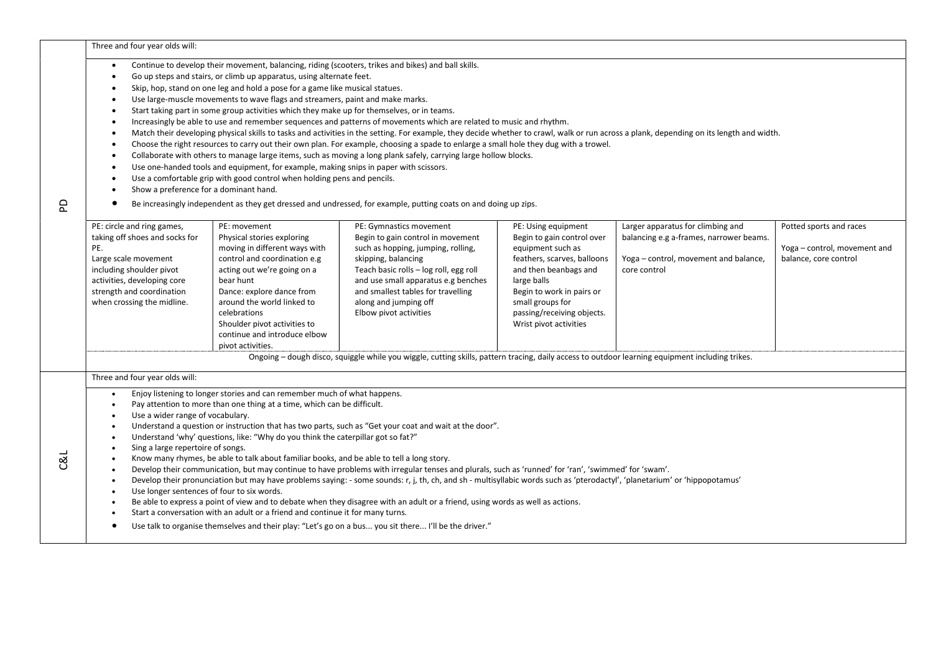|     | Three and four year olds will:                                                                                                                                                                                                                                                                                                                                                                                                                                                                                                                                                                                                                                                                                                                                                                                                                                                                                                                                                                                                                                                                                                                                                                                                                                                                                                                                                                                                                                                                                          |                                                                                                                                                                                                                                                                                                                         |                                                                                                                                                                                                                                                                                                                                                                                                                                                        |                                                                                                                                                                                                                                                        |                                                                                                                                       |                                                                                  |  |
|-----|-------------------------------------------------------------------------------------------------------------------------------------------------------------------------------------------------------------------------------------------------------------------------------------------------------------------------------------------------------------------------------------------------------------------------------------------------------------------------------------------------------------------------------------------------------------------------------------------------------------------------------------------------------------------------------------------------------------------------------------------------------------------------------------------------------------------------------------------------------------------------------------------------------------------------------------------------------------------------------------------------------------------------------------------------------------------------------------------------------------------------------------------------------------------------------------------------------------------------------------------------------------------------------------------------------------------------------------------------------------------------------------------------------------------------------------------------------------------------------------------------------------------------|-------------------------------------------------------------------------------------------------------------------------------------------------------------------------------------------------------------------------------------------------------------------------------------------------------------------------|--------------------------------------------------------------------------------------------------------------------------------------------------------------------------------------------------------------------------------------------------------------------------------------------------------------------------------------------------------------------------------------------------------------------------------------------------------|--------------------------------------------------------------------------------------------------------------------------------------------------------------------------------------------------------------------------------------------------------|---------------------------------------------------------------------------------------------------------------------------------------|----------------------------------------------------------------------------------|--|
| 요   | Continue to develop their movement, balancing, riding (scooters, trikes and bikes) and ball skills.<br>$\bullet$<br>Go up steps and stairs, or climb up apparatus, using alternate feet.<br>$\bullet$<br>Skip, hop, stand on one leg and hold a pose for a game like musical statues.<br>$\bullet$<br>Use large-muscle movements to wave flags and streamers, paint and make marks.<br>$\bullet$<br>Start taking part in some group activities which they make up for themselves, or in teams.<br>$\bullet$<br>Increasingly be able to use and remember sequences and patterns of movements which are related to music and rhythm.<br>$\bullet$<br>Match their developing physical skills to tasks and activities in the setting. For example, they decide whether to crawl, walk or run across a plank, depending on its length and width.<br>$\bullet$<br>Choose the right resources to carry out their own plan. For example, choosing a spade to enlarge a small hole they dug with a trowel.<br>$\bullet$<br>Collaborate with others to manage large items, such as moving a long plank safely, carrying large hollow blocks.<br>$\bullet$<br>Use one-handed tools and equipment, for example, making snips in paper with scissors.<br>$\bullet$<br>Use a comfortable grip with good control when holding pens and pencils.<br>$\bullet$<br>Show a preference for a dominant hand.<br>$\bullet$<br>Be increasingly independent as they get dressed and undressed, for example, putting coats on and doing up zips. |                                                                                                                                                                                                                                                                                                                         |                                                                                                                                                                                                                                                                                                                                                                                                                                                        |                                                                                                                                                                                                                                                        |                                                                                                                                       |                                                                                  |  |
|     | PE: circle and ring games,<br>taking off shoes and socks for<br>PE.<br>Large scale movement<br>including shoulder pivot<br>activities, developing core<br>strength and coordination<br>when crossing the midline.                                                                                                                                                                                                                                                                                                                                                                                                                                                                                                                                                                                                                                                                                                                                                                                                                                                                                                                                                                                                                                                                                                                                                                                                                                                                                                       | PE: movement<br>Physical stories exploring<br>moving in different ways with<br>control and coordination e.g<br>acting out we're going on a<br>bear hunt<br>Dance: explore dance from<br>around the world linked to<br>celebrations<br>Shoulder pivot activities to<br>continue and introduce elbow<br>pivot activities. | PE: Gymnastics movement<br>Begin to gain control in movement<br>such as hopping, jumping, rolling,<br>skipping, balancing<br>Teach basic rolls - log roll, egg roll<br>and use small apparatus e.g benches<br>and smallest tables for travelling<br>along and jumping off<br>Elbow pivot activities<br>Ongoing - dough disco, squiggle while you wiggle, cutting skills, pattern tracing, daily access to outdoor learning equipment including trikes. | PE: Using equipment<br>Begin to gain control over<br>equipment such as<br>feathers, scarves, balloons<br>and then beanbags and<br>large balls<br>Begin to work in pairs or<br>small groups for<br>passing/receiving objects.<br>Wrist pivot activities | Larger apparatus for climbing and<br>balancing e.g a-frames, narrower beams.<br>Yoga - control, movement and balance,<br>core control | Potted sports and races<br>Yoga - control, movement and<br>balance, core control |  |
|     | Three and four year olds will:                                                                                                                                                                                                                                                                                                                                                                                                                                                                                                                                                                                                                                                                                                                                                                                                                                                                                                                                                                                                                                                                                                                                                                                                                                                                                                                                                                                                                                                                                          |                                                                                                                                                                                                                                                                                                                         |                                                                                                                                                                                                                                                                                                                                                                                                                                                        |                                                                                                                                                                                                                                                        |                                                                                                                                       |                                                                                  |  |
| ුන් | Enjoy listening to longer stories and can remember much of what happens.<br>$\bullet$<br>Pay attention to more than one thing at a time, which can be difficult.<br>$\bullet$<br>Use a wider range of vocabulary.<br>$\bullet$<br>Understand a question or instruction that has two parts, such as "Get your coat and wait at the door".<br>$\bullet$<br>Understand 'why' questions, like: "Why do you think the caterpillar got so fat?"<br>$\bullet$<br>Sing a large repertoire of songs.<br>$\bullet$<br>Know many rhymes, be able to talk about familiar books, and be able to tell a long story.<br>Develop their communication, but may continue to have problems with irregular tenses and plurals, such as 'runned' for 'ran', 'swimmed' for 'swam'.<br>$\bullet$<br>Develop their pronunciation but may have problems saying: - some sounds: r, j, th, ch, and sh - multisyllabic words such as 'pterodactyl', 'planetarium' or 'hippopotamus'<br>$\bullet$<br>Use longer sentences of four to six words.<br>$\bullet$<br>Be able to express a point of view and to debate when they disagree with an adult or a friend, using words as well as actions.<br>$\bullet$<br>Start a conversation with an adult or a friend and continue it for many turns.<br>$\bullet$<br>Use talk to organise themselves and their play: "Let's go on a bus you sit there I'll be the driver."<br>$\bullet$                                                                                                                     |                                                                                                                                                                                                                                                                                                                         |                                                                                                                                                                                                                                                                                                                                                                                                                                                        |                                                                                                                                                                                                                                                        |                                                                                                                                       |                                                                                  |  |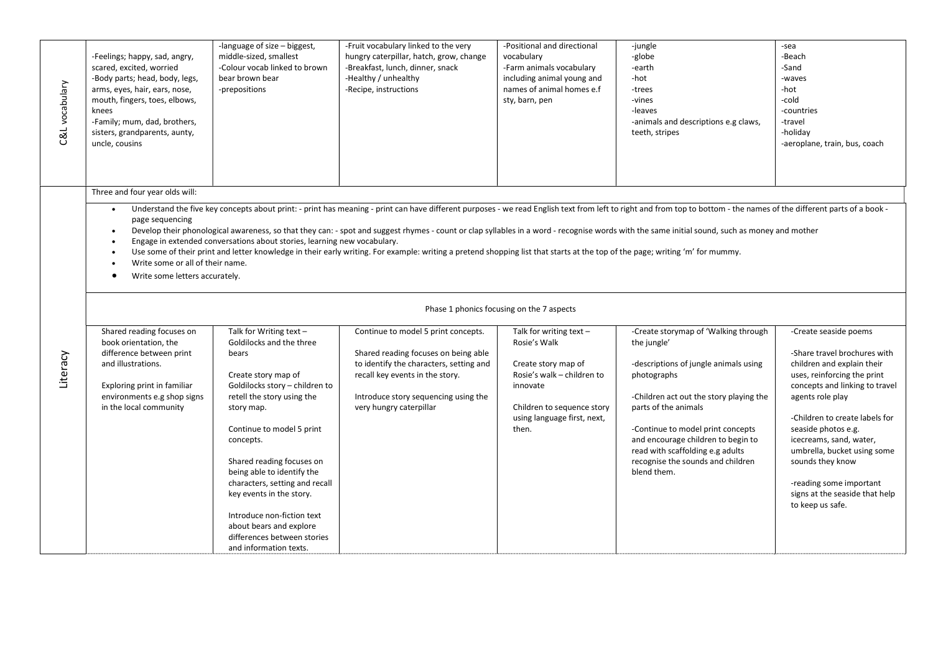| C&L vocabulary | -Feelings; happy, sad, angry,<br>scared, excited, worried<br>-Body parts; head, body, legs,<br>arms, eyes, hair, ears, nose,<br>mouth, fingers, toes, elbows,<br>knees<br>-Family; mum, dad, brothers,<br>sisters, grandparents, aunty,<br>uncle, cousins                                                                                                                                                                                                                                                                                                                                                                                                                                                                                                                                                                                                                                                                                                                                                                                                                                                                                                                                                                                                                                                                                                                                                                                                                                                                                                                                                                                                                                                                                                                                  | -language of size - biggest,<br>middle-sized, smallest<br>-Colour vocab linked to brown<br>bear brown bear<br>-prepositions                                                                                                                                                                                                   | -Fruit vocabulary linked to the very<br>hungry caterpillar, hatch, grow, change<br>-Breakfast, lunch, dinner, snack<br>-Healthy / unhealthy<br>-Recipe, instructions | -Positional and directional<br>vocabulary<br>-Farm animals vocabulary<br>including animal young and<br>names of animal homes e.f<br>sty, barn, pen | -jungle<br>-globe<br>-earth<br>-hot<br>-trees<br>-vines<br>-leaves<br>-animals and descriptions e.g claws,<br>teeth, stripes                                                            | -sea<br>-Beach<br>-Sand<br>-waves<br>-hot<br>-cold<br>-countries<br>-travel<br>-holiday<br>-aeroplane, train, bus, coach                                                                                             |
|----------------|--------------------------------------------------------------------------------------------------------------------------------------------------------------------------------------------------------------------------------------------------------------------------------------------------------------------------------------------------------------------------------------------------------------------------------------------------------------------------------------------------------------------------------------------------------------------------------------------------------------------------------------------------------------------------------------------------------------------------------------------------------------------------------------------------------------------------------------------------------------------------------------------------------------------------------------------------------------------------------------------------------------------------------------------------------------------------------------------------------------------------------------------------------------------------------------------------------------------------------------------------------------------------------------------------------------------------------------------------------------------------------------------------------------------------------------------------------------------------------------------------------------------------------------------------------------------------------------------------------------------------------------------------------------------------------------------------------------------------------------------------------------------------------------------|-------------------------------------------------------------------------------------------------------------------------------------------------------------------------------------------------------------------------------------------------------------------------------------------------------------------------------|----------------------------------------------------------------------------------------------------------------------------------------------------------------------|----------------------------------------------------------------------------------------------------------------------------------------------------|-----------------------------------------------------------------------------------------------------------------------------------------------------------------------------------------|----------------------------------------------------------------------------------------------------------------------------------------------------------------------------------------------------------------------|
| Literacy       | Three and four year olds will:<br>Understand the five key concepts about print: - print has meaning - print can have different purposes - we read English text from left to right and from top to bottom - the names of the different parts of a book -<br>page sequencing<br>Develop their phonological awareness, so that they can: - spot and suggest rhymes - count or clap syllables in a word - recognise words with the same initial sound, such as money and mother<br>Engage in extended conversations about stories, learning new vocabulary.<br>Use some of their print and letter knowledge in their early writing. For example: writing a pretend shopping list that starts at the top of the page; writing 'm' for mummy.<br>Write some or all of their name.<br>Write some letters accurately.<br>٠<br>Phase 1 phonics focusing on the 7 aspects<br>Continue to model 5 print concepts.<br>Shared reading focuses on<br>Talk for Writing text $-$<br>Talk for writing text $-$<br>-Create storymap of 'Walking through<br>-Create seaside poems<br>book orientation, the<br>Goldilocks and the three<br>Rosie's Walk<br>the jungle'<br>difference between print<br>Shared reading focuses on being able<br>-Share travel brochures with<br>bears<br>and illustrations.<br>to identify the characters, setting and<br>-descriptions of jungle animals using<br>children and explain their<br>Create story map of<br>Create story map of<br>recall key events in the story.<br>Rosie's walk - children to<br>uses, reinforcing the print<br>photographs<br>Exploring print in familiar<br>Goldilocks story - children to<br>concepts and linking to travel<br>innovate<br>Introduce story sequencing using the<br>-Children act out the story playing the<br>agents role play |                                                                                                                                                                                                                                                                                                                               |                                                                                                                                                                      |                                                                                                                                                    |                                                                                                                                                                                         |                                                                                                                                                                                                                      |
|                | environments e.g shop signs<br>in the local community                                                                                                                                                                                                                                                                                                                                                                                                                                                                                                                                                                                                                                                                                                                                                                                                                                                                                                                                                                                                                                                                                                                                                                                                                                                                                                                                                                                                                                                                                                                                                                                                                                                                                                                                      | retell the story using the<br>story map.<br>Continue to model 5 print<br>concepts.<br>Shared reading focuses on<br>being able to identify the<br>characters, setting and recall<br>key events in the story.<br>Introduce non-fiction text<br>about bears and explore<br>differences between stories<br>and information texts. | very hungry caterpillar                                                                                                                                              | Children to sequence story<br>using language first, next,<br>then.                                                                                 | parts of the animals<br>-Continue to model print concepts<br>and encourage children to begin to<br>read with scaffolding e.g adults<br>recognise the sounds and children<br>blend them. | -Children to create labels for<br>seaside photos e.g.<br>icecreams, sand, water,<br>umbrella, bucket using some<br>sounds they know<br>-reading some important<br>signs at the seaside that help<br>to keep us safe. |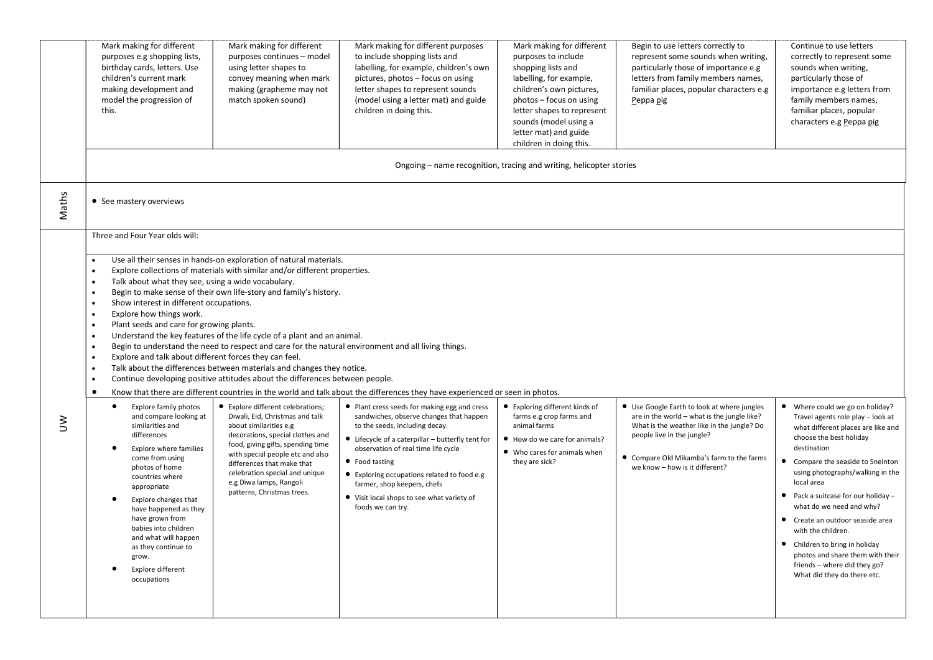|       | Mark making for different<br>purposes e.g shopping lists,<br>birthday cards, letters. Use<br>children's current mark<br>making development and<br>model the progression of<br>this.                                                                                                                                                                                                                                                                                                                                                                                                                                                                                                                                                                      | Mark making for different<br>purposes continues - model<br>using letter shapes to<br>convey meaning when mark<br>making (grapheme may not<br>match spoken sound)                                                                                                                                                                                                                                                                                                                                                                                                                                                                                                                                                                                                                                  | Mark making for different purposes<br>to include shopping lists and<br>labelling, for example, children's own<br>pictures, photos - focus on using<br>letter shapes to represent sounds<br>(model using a letter mat) and guide<br>children in doing this.                                                                                                                                                                                                                                                                                                                                                                      | Mark making for different<br>purposes to include<br>shopping lists and<br>labelling, for example,<br>children's own pictures,<br>photos - focus on using<br>letter shapes to represent<br>sounds (model using a<br>letter mat) and guide<br>children in doing this. | Begin to use letters correctly to<br>represent some sounds when writing,<br>particularly those of importance e.g<br>letters from family members names,<br>familiar places, popular characters e.g<br>Peppa pig                                        | Continue to use letters<br>correctly to represent some<br>sounds when writing,<br>particularly those of<br>importance e.g letters from<br>family members names,<br>familiar places, popular<br>characters e.g Peppa pig                                                                                                                                                                                                                                                                                                |
|-------|----------------------------------------------------------------------------------------------------------------------------------------------------------------------------------------------------------------------------------------------------------------------------------------------------------------------------------------------------------------------------------------------------------------------------------------------------------------------------------------------------------------------------------------------------------------------------------------------------------------------------------------------------------------------------------------------------------------------------------------------------------|---------------------------------------------------------------------------------------------------------------------------------------------------------------------------------------------------------------------------------------------------------------------------------------------------------------------------------------------------------------------------------------------------------------------------------------------------------------------------------------------------------------------------------------------------------------------------------------------------------------------------------------------------------------------------------------------------------------------------------------------------------------------------------------------------|---------------------------------------------------------------------------------------------------------------------------------------------------------------------------------------------------------------------------------------------------------------------------------------------------------------------------------------------------------------------------------------------------------------------------------------------------------------------------------------------------------------------------------------------------------------------------------------------------------------------------------|---------------------------------------------------------------------------------------------------------------------------------------------------------------------------------------------------------------------------------------------------------------------|-------------------------------------------------------------------------------------------------------------------------------------------------------------------------------------------------------------------------------------------------------|------------------------------------------------------------------------------------------------------------------------------------------------------------------------------------------------------------------------------------------------------------------------------------------------------------------------------------------------------------------------------------------------------------------------------------------------------------------------------------------------------------------------|
|       |                                                                                                                                                                                                                                                                                                                                                                                                                                                                                                                                                                                                                                                                                                                                                          |                                                                                                                                                                                                                                                                                                                                                                                                                                                                                                                                                                                                                                                                                                                                                                                                   |                                                                                                                                                                                                                                                                                                                                                                                                                                                                                                                                                                                                                                 | Ongoing – name recognition, tracing and writing, helicopter stories                                                                                                                                                                                                 |                                                                                                                                                                                                                                                       |                                                                                                                                                                                                                                                                                                                                                                                                                                                                                                                        |
| Maths | • See mastery overviews                                                                                                                                                                                                                                                                                                                                                                                                                                                                                                                                                                                                                                                                                                                                  |                                                                                                                                                                                                                                                                                                                                                                                                                                                                                                                                                                                                                                                                                                                                                                                                   |                                                                                                                                                                                                                                                                                                                                                                                                                                                                                                                                                                                                                                 |                                                                                                                                                                                                                                                                     |                                                                                                                                                                                                                                                       |                                                                                                                                                                                                                                                                                                                                                                                                                                                                                                                        |
| ξ     | Three and Four Year olds will:<br>$\bullet$<br>Talk about what they see, using a wide vocabulary.<br>$\bullet$<br>$\bullet$<br>Show interest in different occupations.<br>Explore how things work.<br>$\bullet$<br>Plant seeds and care for growing plants.<br>$\bullet$<br>Explore and talk about different forces they can feel.<br>$\bullet$<br>$\bullet$<br>$\bullet$<br>Explore family photos<br>and compare looking at<br>similarities and<br>differences<br>Explore where families<br>come from using<br>photos of home<br>countries where<br>appropriate<br>Explore changes that<br>have happened as they<br>have grown from<br>babies into children<br>and what will happen<br>as they continue to<br>grow.<br>Explore different<br>occupations | Use all their senses in hands-on exploration of natural materials.<br>Explore collections of materials with similar and/or different properties.<br>Begin to make sense of their own life-story and family's history.<br>Understand the key features of the life cycle of a plant and an animal.<br>Talk about the differences between materials and changes they notice.<br>Continue developing positive attitudes about the differences between people.<br>• Explore different celebrations;<br>Diwali, Eid, Christmas and talk<br>about similarities e.g<br>decorations, special clothes and<br>food, giving gifts, spending time<br>with special people etc and also<br>differences that make that<br>celebration special and unique<br>e.g Diwa lamps, Rangoli<br>patterns, Christmas trees. | Begin to understand the need to respect and care for the natural environment and all living things.<br>Know that there are different countries in the world and talk about the differences they have experienced or seen in photos.<br>• Plant cress seeds for making egg and cress<br>sandwiches, observe changes that happen<br>to the seeds, including decay.<br>• Lifecycle of a caterpillar - butterfly tent for<br>observation of real time life cycle<br>• Food tasting<br>• Exploring occupations related to food e.g<br>farmer, shop keepers, chefs<br>• Visit local shops to see what variety of<br>foods we can try. | • Exploring different kinds of<br>farms e.g crop farms and<br>animal farms<br>• How do we care for animals?<br>• Who cares for animals when<br>they are sick?                                                                                                       | • Use Google Earth to look at where jungles<br>are in the world - what is the jungle like?<br>What is the weather like in the jungle? Do<br>people live in the jungle?<br>• Compare Old Mikamba's farm to the farms<br>we know - how is it different? | • Where could we go on holiday?<br>Travel agents role play - look at<br>what different places are like and<br>choose the best holiday<br>destination<br>Compare the seaside to Sneinton<br>$\bullet$<br>using photographs/walking in the<br>local area<br>Pack a suitcase for our holiday -<br>what do we need and why?<br>• Create an outdoor seaside area<br>with the children.<br>• Children to bring in holiday<br>photos and share them with their<br>friends - where did they go?<br>What did they do there etc. |